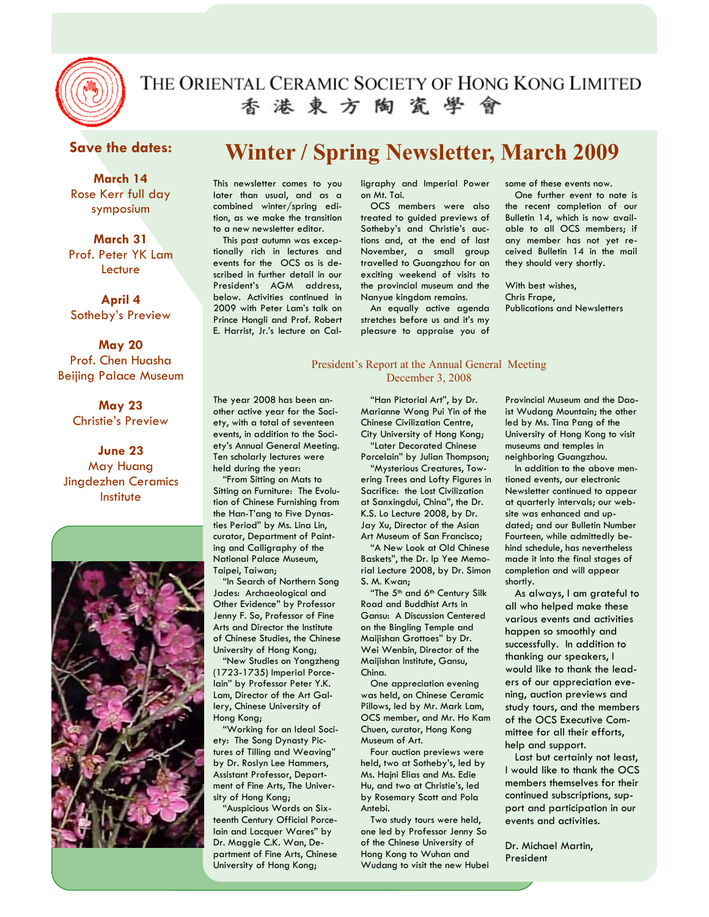

# 香港東方陶瓷學會

# **Save the dates:**

**March 14**  Rose Kerr full day symposium

**March 31**  Prof. Peter YK Lam **Lecture** 

**April 4**  Sotheby's Preview

**May 20**  Prof. Chen Huasha Beijing Palace Museum

> **May 23**  Christie's Preview

**June 23**  May Huang Jingdezhen Ceramics **Institute** 



# **Winter / Spring Newsletter, March 2009**

This newsletter comes to you later than usual, and as a combined winter/spring edition, as we make the transition to a new newsletter editor.

This past autumn was exceptionally rich in lectures and events for the OCS as is described in further detail in our President's AGM address, below. Activities continued in 2009 with Peter Lam's talk on Prince Hongli and Prof. Robert E. Harrist, Jr.'s lecture on Cal-

ligraphy and Imperial Power on Mt. Tai.

OCS members were also treated to guided previews of Sotheby's and Christie's auctions and, at the end of last November, a small group travelled to Guangzhou for an exciting weekend of visits to the provincial museum and the Nanyue kingdom remains.

An equally active agenda stretches before us and it's my pleasure to appraise you of

#### President's Report at the Annual General Meeting December 3, 2008

The year 2008 has been another active year for the Society, with a total of seventeen events, in addition to the Society's Annual General Meeting. Ten scholarly lectures were held during the year:

"From Sitting on Mats to Sitting on Furniture: The Evolution of Chinese Furnishing from the Han-T'ang to Five Dynasties Period" by Ms. Lina Lin, curator, Department of Painting and Calligraphy of the National Palace Museum, Taipei, Taiwan;

"In Search of Northern Song Jades: Archaeological and Other Evidence" by Professor Jenny F. So, Professor of Fine Arts and Director the Institute of Chinese Studies, the Chinese University of Hong Kong;

"New Studies on Yongzheng (1723-1735) Imperial Porcelain" by Professor Peter Y.K. Lam, Director of the Art Gallery, Chinese University of Hong Kong;

"Working for an Ideal Society: The Song Dynasty Pictures of Tilling and Weaving" by Dr. Roslyn Lee Hammers, Assistant Professor, Department of Fine Arts, The University of Hong Kong;

"Auspicious Words on Sixteenth Century Official Porcelain and Lacquer Wares" by Dr. Maggie C.K. Wan, Department of Fine Arts, Chinese University of Hong Kong;

"Han Pictorial Art", by Dr. Marianne Wong Pui Yin of the Chinese Civilization Centre, City University of Hong Kong; "Later Decorated Chinese

Porcelain" by Julian Thompson; "Mysterious Creatures, Tow-

ering Trees and Lofty Figures in Sacrifice: the Lost Civilization at Sanxingdui, China", the Dr. K.S. Lo Lecture 2008, by Dr. Jay Xu, Director of the Asian Art Museum of San Francisco; "A New Look at Old Chinese

Baskets", the Dr. Ip Yee Memorial Lecture 2008, by Dr. Simon S. M. Kwan;

"The 5<sup>th</sup> and 6<sup>th</sup> Century Silk Road and Buddhist Arts in Gansu: A Discussion Centered on the Bingling Temple and Maijishan Grottoes" by Dr. Wei Wenbin, Director of the Maijishan Institute, Gansu, China.

One appreciation evening was held, on Chinese Ceramic Pillows, led by Mr. Mark Lam, OCS member, and Mr. Ho Kam Chuen, curator, Hong Kong Museum of Art.

Four auction previews were held, two at Sotheby's, led by Ms. Hajni Elias and Ms. Edie Hu, and two at Christie's, led by Rosemary Scott and Pola Antebi.

Two study tours were held, one led by Professor Jenny So of the Chinese University of Hong Kong to Wuhan and Wudang to visit the new Hubei some of these events now.

One further event to note is the recent completion of our Bulletin 14, which is now available to all OCS members; if any member has not yet received Bulletin 14 in the mail they should very shortly.

With best wishes, Chris Frape, Publications and Newsletters

Provincial Museum and the Daoist Wudang Mountain; the other led by Ms. Tina Pang of the University of Hong Kong to visit museums and temples in neighboring Guangzhou.

In addition to the above mentioned events, our electronic Newsletter continued to appear at quarterly intervals; our website was enhanced and updated; and our Bulletin Number Fourteen, while admittedly behind schedule, has nevertheless made it into the final stages of completion and will appear shortly.

As always, I am grateful to all who helped make these various events and activities happen so smoothly and successfully. In addition to thanking our speakers, I would like to thank the leaders of our appreciation evening, auction previews and study tours, and the members of the OCS Executive Committee for all their efforts, help and support.

Last but certainly not least, I would like to thank the OCS members themselves for their continued subscriptions, support and participation in our events and activities.

Dr. Michael Martin, President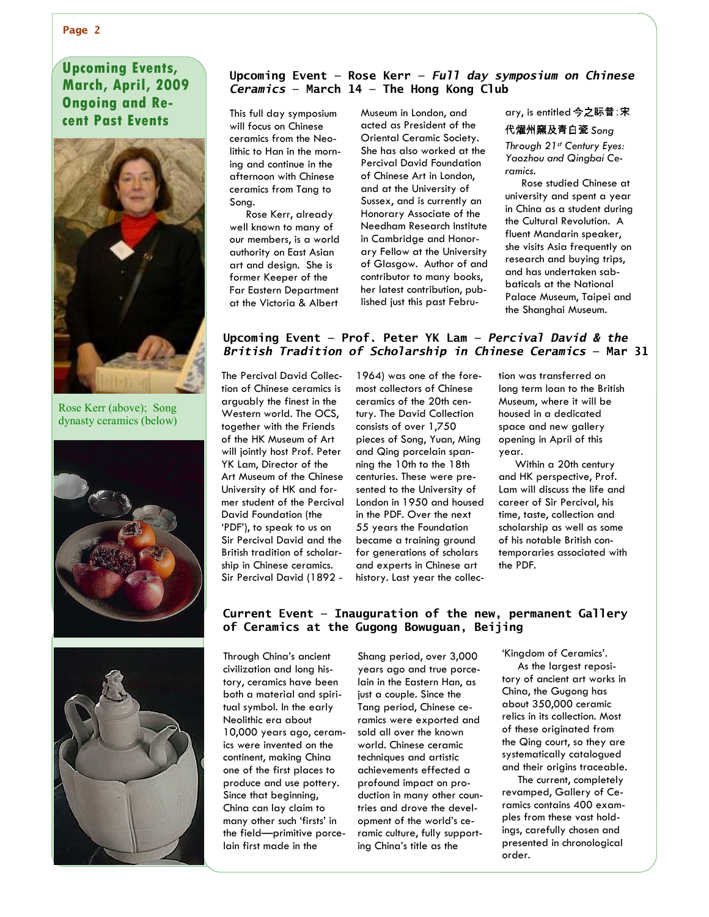# **March, April, 2009 Upcoming Events, Ongoing and Re-**

**cent Past Events** 



Rose Kerr (above); Song dynasty ceramics (below)





#### **Upcoming Event — Rose Kerr —** *Full day symposium on Chinese Ceramics* **— March 14 — The Hong Kong Club**

This full day symposium will focus on Chinese ceramics from the Neolithic to Han in the morning and continue in the afternoon with Chinese ceramics from Tang to Song.

Rose Kerr, already well known to many of our members, is a world authority on East Asian art and design. She is former Keeper of the Far Eastern Department at the Victoria & Albert

Museum in London, and acted as President of the Oriental Ceramic Society. She has also worked at the Percival David Foundation of Chinese Art in London, and at the University of Sussex, and is currently an Honorary Associate of the Needham Research Institute in Cambridge and Honorary Fellow at the University of Glasgow. Author of and contributor to many books, her latest contribution, published just this past February, is entitled 今之眎昔∶宋 │

代燿州窯及青白瓷 Song *Through 21st Century Eyes: Yaozhou and Qingbai Ce-*

*ramics.* 

Rose studied Chinese at university and spent a year in China as a student during the Cultural Revolution. A fluent Mandarin speaker, she visits Asia frequently on research and buying trips, and has undertaken sabbaticals at the National Palace Museum, Taipei and the Shanghai Museum.

#### **Upcoming Event — Prof. Peter YK Lam —** *Percival David & the British Tradition of Scholarship in Chinese Ceramics* **— Mar 31**

The Percival David Collection of Chinese ceramics is arguably the finest in the Western world. The OCS, together with the Friends of the HK Museum of Art will jointly host Prof. Peter YK Lam, Director of the Art Museum of the Chinese University of HK and former student of the Percival David Foundation (the 'PDF'), to speak to us on Sir Percival David and the British tradition of scholarship in Chinese ceramics. Sir Percival David (1892 -

1964) was one of the foremost collectors of Chinese ceramics of the 20th century. The David Collection consists of over 1,750 pieces of Song, Yuan, Ming and Qing porcelain spanning the 10th to the 18th centuries. These were presented to the University of London in 1950 and housed in the PDF. Over the next 55 years the Foundation became a training ground for generations of scholars and experts in Chinese art history. Last year the collection was transferred on long term loan to the British Museum, where it will be housed in a dedicated space and new gallery opening in April of this year.

Within a 20th century and HK perspective, Prof. Lam will discuss the life and career of Sir Percival, his time, taste, collection and scholarship as well as some of his notable British contemporaries associated with the PDF.

#### **Current Event — Inauguration of the new, permanent Gallery of Ceramics at the Gugong Bowuguan, Beijing**

Through China's ancient civilization and long history, ceramics have been both a material and spiritual symbol. In the early Neolithic era about 10,000 years ago, ceramics were invented on the continent, making China one of the first places to produce and use pottery. Since that beginning, China can lay claim to many other such 'firsts' in the field—primitive porcelain first made in the

Shang period, over 3,000 years ago and true porcelain in the Eastern Han, as just a couple. Since the Tang period, Chinese ceramics were exported and sold all over the known world. Chinese ceramic techniques and artistic achievements effected a profound impact on production in many other countries and drove the development of the world's ceramic culture, fully supporting China's title as the

'Kingdom of Ceramics'.

As the largest repository of ancient art works in China, the Gugong has about 350,000 ceramic relics in its collection. Most of these originated from the Qing court, so they are systematically catalogued and their origins traceable.

The current, completely revamped, Gallery of Ceramics contains 400 examples from these vast holdings, carefully chosen and presented in chronological order.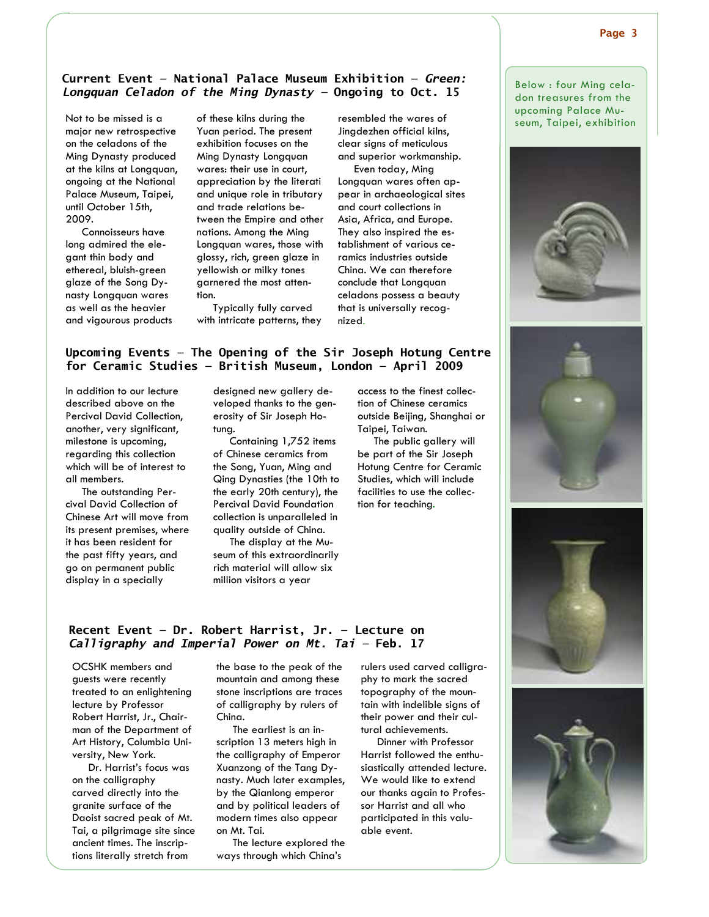#### **Current Event — National Palace Museum Exhibition —** *Green: Longquan Celadon of the Ming Dynasty —* **Ongoing to Oct. 15**

Not to be missed is a major new retrospective on the celadons of the Ming Dynasty produced at the kilns at Longquan, ongoing at the National Palace Museum, Taipei, until October 15th, 2009.

Connoisseurs have long admired the elegant thin body and ethereal, bluish-green glaze of the Song Dynasty Longquan wares as well as the heavier and vigourous products of these kilns during the Yuan period. The present exhibition focuses on the Ming Dynasty Longquan wares: their use in court, appreciation by the literati and unique role in tributary and trade relations between the Empire and other nations. Among the Ming Longquan wares, those with glossy, rich, green glaze in yellowish or milky tones garnered the most attention.

Typically fully carved with intricate patterns, they resembled the wares of Jingdezhen official kilns, clear signs of meticulous and superior workmanship.

Even today, Ming Longquan wares often appear in archaeological sites and court collections in Asia, Africa, and Europe. They also inspired the establishment of various ceramics industries outside China. We can therefore conclude that Longquan celadons possess a beauty that is universally recognized.

#### **Upcoming Events — The Opening of the Sir Joseph Hotung Centre for Ceramic Studies — British Museum, London — April 2009**

In addition to our lecture described above on the Percival David Collection, another, very significant, milestone is upcoming, regarding this collection which will be of interest to all members.

The outstanding Percival David Collection of Chinese Art will move from its present premises, where it has been resident for the past fifty years, and go on permanent public display in a specially

designed new gallery developed thanks to the generosity of Sir Joseph Hotung.

Containing 1,752 items of Chinese ceramics from the Song, Yuan, Ming and Qing Dynasties (the 10th to the early 20th century), the Percival David Foundation collection is unparalleled in quality outside of China.

The display at the Museum of this extraordinarily rich material will allow six million visitors a year

access to the finest collection of Chinese ceramics outside Beijing, Shanghai or Taipei, Taiwan.

The public gallery will be part of the Sir Joseph Hotung Centre for Ceramic Studies, which will include facilities to use the collection for teaching.

Below : four Ming celadon treasures from the upcoming Palace Museum, Taipei, exhibition









#### **Recent Event — Dr. Robert Harrist, Jr. — Lecture on** *Calligraphy and Imperial Power on Mt. Tai —* **Feb. 17**

OCSHK members and guests were recently treated to an enlightening lecture by Professor Robert Harrist, Jr., Chairman of the Department of Art History, Columbia University, New York.

Dr. Harrist's focus was on the calligraphy carved directly into the granite surface of the Daoist sacred peak of Mt. Tai, a pilgrimage site since ancient times. The inscriptions literally stretch from

the base to the peak of the mountain and among these stone inscriptions are traces of calligraphy by rulers of China.

The earliest is an inscription 13 meters high in the calligraphy of Emperor Xuanzong of the Tang Dynasty. Much later examples, by the Qianlong emperor and by political leaders of modern times also appear on Mt. Tai.

The lecture explored the ways through which China's

rulers used carved calligraphy to mark the sacred topography of the mountain with indelible signs of their power and their cultural achievements.

Dinner with Professor Harrist followed the enthusiastically attended lecture. We would like to extend our thanks again to Professor Harrist and all who participated in this valuable event.